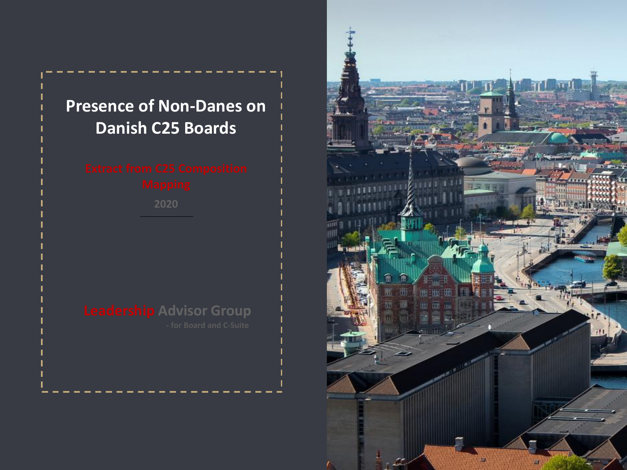## **Presence of Non-Danes on Danish C25 Boards**

**2020**

**Leadership Advisor Group**

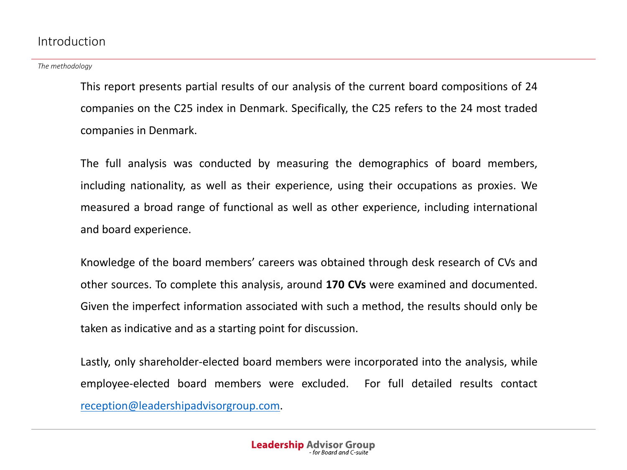## Introduction

*The methodology*

This report presents partial results of our analysis of the current board compositions of 24 companies on the C25 index in Denmark. Specifically, the C25 refers to the 24 most traded companies in Denmark.

The full analysis was conducted by measuring the demographics of board members, including nationality, as well as their experience, using their occupations as proxies. We measured a broad range of functional as well as other experience, including international and board experience.

Knowledge of the board members' careers was obtained through desk research of CVs and other sources. To complete this analysis, around **170 CVs** were examined and documented. Given the imperfect information associated with such a method, the results should only be taken as indicative and as a starting point for discussion.

Lastly, only shareholder-elected board members were incorporated into the analysis, while employee-elected board members were excluded. For full detailed results contact [reception@leadershipadvisorgroup.com.](mailto:reception@leadershipadvisorgroup.com)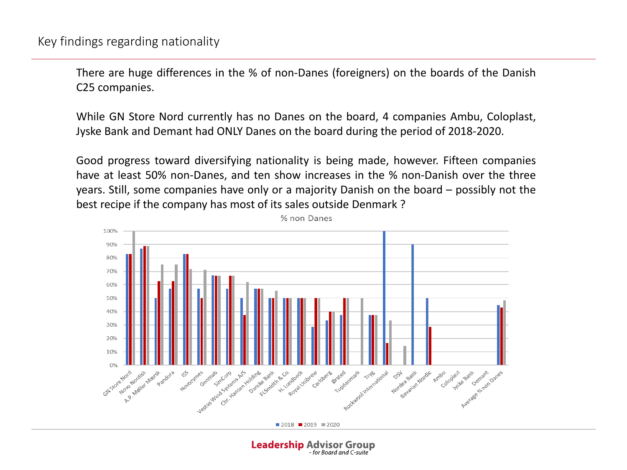There are huge differences in the % of non-Danes (foreigners) on the boards of the Danish C25 companies.

While GN Store Nord currently has no Danes on the board, 4 companies Ambu, Coloplast, Jyske Bank and Demant had ONLY Danes on the board during the period of 2018-2020.

Good progress toward diversifying nationality is being made, however. Fifteen companies have at least 50% non-Danes, and ten show increases in the % non-Danish over the three years. Still, some companies have only or a majority Danish on the board – possibly not the best recipe if the company has most of its sales outside Denmark ?



**Leadership Advisor Group** 

- for Board and C-suite